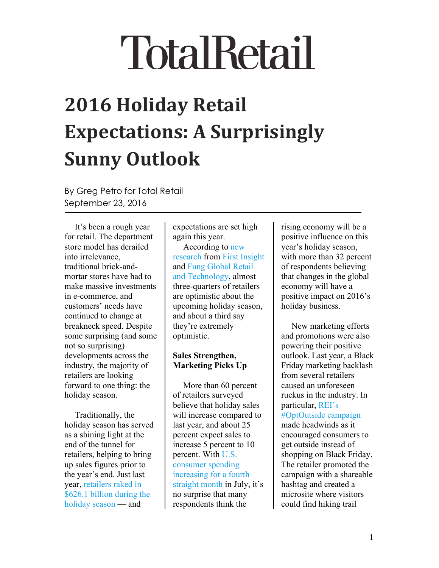# **2016 Holiday Retail Expectations: A Surprisingly Sunny Outlook**

By Greg Petro for Total Retail September 23, 2016

It's been a rough year for retail. The department store model has derailed into irrelevance, traditional brick-andmortar stores have had to make massive investments in e-commerce, and customers' needs have continued to change at breakneck speed. Despite some surprising (and some not so surprising) developments across the industry, the majority of retailers are looking forward to one thing: the holiday season.

Traditionally, the holiday season has served as a shining light at the end of the tunnel for retailers, helping to bring up sales figures prior to the year's end. Just last year, [retailers raked in](https://nrf.com/resources/consumer-data/holiday-headquarters) [\\$626.1 billion during the](https://nrf.com/resources/consumer-data/holiday-headquarters) [holiday season](https://nrf.com/resources/consumer-data/holiday-headquarters) — and

expectations are set high again this year.

According to [new](http://www.firstinsight.com/press-coverage/holiday-2016-survey-results-retailers-somewhat-bullish) [research](http://www.firstinsight.com/press-coverage/holiday-2016-survey-results-retailers-somewhat-bullish) from [First Insight](http://www.firstinsight.com/) and [Fung Global Retail](https://fungglobalretailtech.com/) [and Technology,](https://fungglobalretailtech.com/) almost three-quarters of retailers are optimistic about the upcoming holiday season, and about a third say they're extremely optimistic.

## **Sales Strengthen, Marketing Picks Up**

More than 60 percent of retailers surveyed believe that holiday sales will increase compared to last year, and about 25 percent expect sales to increase 5 percent to 10 percent. With [U.S.](http://www.cnbc.com/2016/08/29/rising-incomes-are-fueling-an-american-shopping-spree.html) [consumer spending](http://www.cnbc.com/2016/08/29/rising-incomes-are-fueling-an-american-shopping-spree.html) [increasing for a fourth](http://www.cnbc.com/2016/08/29/rising-incomes-are-fueling-an-american-shopping-spree.html) [straight month](http://www.cnbc.com/2016/08/29/rising-incomes-are-fueling-an-american-shopping-spree.html) in July, it's no surprise that many respondents think the

rising economy will be a positive influence on this year's holiday season, with more than 32 percent of respondents believing that changes in the global economy will have a positive impact on 2016's holiday business.

New marketing efforts and promotions were also powering their positive outlook. Last year, a Black Friday marketing backlash from several retailers caused an unforeseen ruckus in the industry. In particular, [REI's](http://optoutside.rei.com/) [#OptOutside campaign](http://optoutside.rei.com/) made headwinds as it encouraged consumers to get outside instead of

shopping on Black Friday. The retailer promoted the campaign with a shareable hashtag and created a microsite where visitors could find hiking trail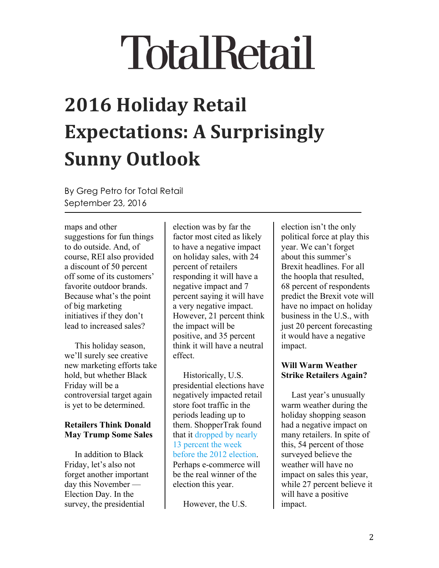# **2016 Holiday Retail Expectations: A Surprisingly Sunny Outlook**

By Greg Petro for Total Retail September 23, 2016

maps and other suggestions for fun things to do outside. And, of course, REI also provided a discount of 50 percent off some of its customers' favorite outdoor brands. Because what's the point of big marketing initiatives if they don't lead to increased sales?

This holiday season, we'll surely see creative new marketing efforts take hold, but whether Black Friday will be a controversial target again is yet to be determined.

### **Retailers Think Donald May Trump Some Sales**

In addition to Black Friday, let's also not forget another important day this November — Election Day. In the survey, the presidential

election was by far the factor most cited as likely to have a negative impact on holiday sales, with 24 percent of retailers responding it will have a negative impact and 7 percent saying it will have a very negative impact. However, 21 percent think the impact will be positive, and 35 percent think it will have a neutral effect.

Historically, U.S. presidential elections have negatively impacted retail store foot traffic in the periods leading up to them. ShopperTrak found that it [dropped by nearly](http://consensusadvisors.com/2016/07/07182016/) [13 percent the week](http://consensusadvisors.com/2016/07/07182016/) [before the 2012 election](http://consensusadvisors.com/2016/07/07182016/). Perhaps e-commerce will be the real winner of the election this year.

However, the U.S.

election isn't the only political force at play this year. We can't forget about this summer's Brexit headlines. For all the hoopla that resulted, 68 percent of respondents predict the Brexit vote will have no impact on holiday business in the U.S., with just 20 percent forecasting it would have a negative impact.

### **Will Warm Weather Strike Retailers Again?**

Last year's unusually warm weather during the holiday shopping season had a negative impact on many retailers. In spite of this, 54 percent of those surveyed believe the weather will have no impact on sales this year, while 27 percent believe it will have a positive impact.